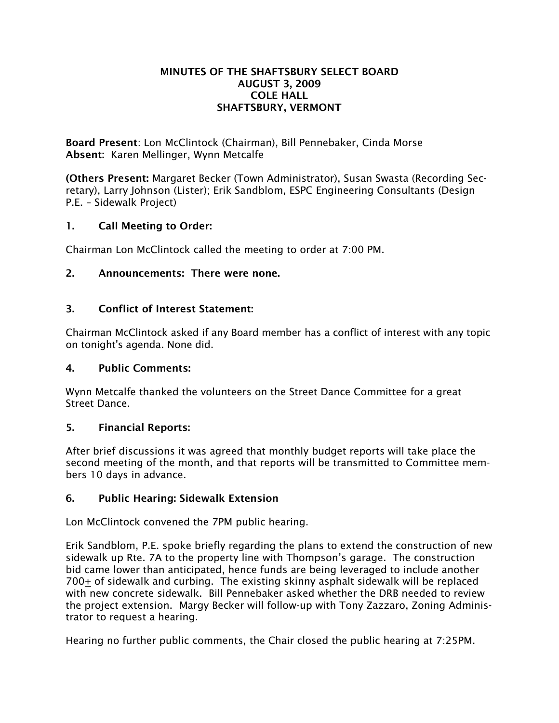#### MINUTES OF THE SHAFTSBURY SELECT BOARD AUGUST 3, 2009 COLE HALL SHAFTSBURY, VERMONT

Board Present: Lon McClintock (Chairman), Bill Pennebaker, Cinda Morse Absent: Karen Mellinger, Wynn Metcalfe

(Others Present: Margaret Becker (Town Administrator), Susan Swasta (Recording Secretary), Larry Johnson (Lister); Erik Sandblom, ESPC Engineering Consultants (Design P.E. – Sidewalk Project)

# 1. Call Meeting to Order:

Chairman Lon McClintock called the meeting to order at 7:00 PM.

# 2. Announcements: There were none.

# 3. Conflict of Interest Statement:

Chairman McClintock asked if any Board member has a conflict of interest with any topic on tonight's agenda. None did.

# 4. Public Comments:

Wynn Metcalfe thanked the volunteers on the Street Dance Committee for a great Street Dance.

# 5. Financial Reports:

After brief discussions it was agreed that monthly budget reports will take place the second meeting of the month, and that reports will be transmitted to Committee members 10 days in advance.

# 6. Public Hearing: Sidewalk Extension

Lon McClintock convened the 7PM public hearing.

Erik Sandblom, P.E. spoke briefly regarding the plans to extend the construction of new sidewalk up Rte. 7A to the property line with Thompson's garage. The construction bid came lower than anticipated, hence funds are being leveraged to include another 700 $\pm$  of sidewalk and curbing. The existing skinny asphalt sidewalk will be replaced with new concrete sidewalk. Bill Pennebaker asked whether the DRB needed to review the project extension. Margy Becker will follow-up with Tony Zazzaro, Zoning Administrator to request a hearing.

Hearing no further public comments, the Chair closed the public hearing at 7:25PM.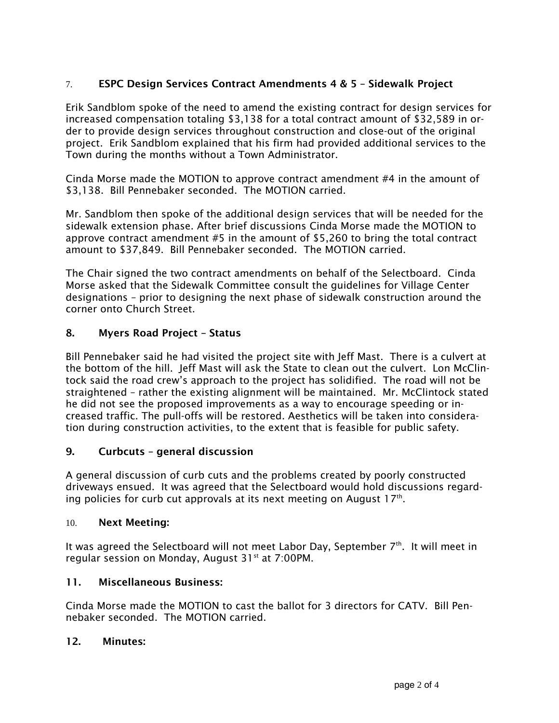# 7. ESPC Design Services Contract Amendments 4 & 5 – Sidewalk Project

Erik Sandblom spoke of the need to amend the existing contract for design services for increased compensation totaling \$3,138 for a total contract amount of \$32,589 in order to provide design services throughout construction and close-out of the original project. Erik Sandblom explained that his firm had provided additional services to the Town during the months without a Town Administrator.

Cinda Morse made the MOTION to approve contract amendment #4 in the amount of \$3,138. Bill Pennebaker seconded. The MOTION carried.

Mr. Sandblom then spoke of the additional design services that will be needed for the sidewalk extension phase. After brief discussions Cinda Morse made the MOTION to approve contract amendment #5 in the amount of \$5,260 to bring the total contract amount to \$37,849. Bill Pennebaker seconded. The MOTION carried.

The Chair signed the two contract amendments on behalf of the Selectboard. Cinda Morse asked that the Sidewalk Committee consult the guidelines for Village Center designations – prior to designing the next phase of sidewalk construction around the corner onto Church Street.

## 8. Myers Road Project – Status

Bill Pennebaker said he had visited the project site with Jeff Mast. There is a culvert at the bottom of the hill. Jeff Mast will ask the State to clean out the culvert. Lon McClintock said the road crew's approach to the project has solidified. The road will not be straightened – rather the existing alignment will be maintained. Mr. McClintock stated he did not see the proposed improvements as a way to encourage speeding or increased traffic. The pull-offs will be restored. Aesthetics will be taken into consideration during construction activities, to the extent that is feasible for public safety.

## 9. Curbcuts – general discussion

A general discussion of curb cuts and the problems created by poorly constructed driveways ensued. It was agreed that the Selectboard would hold discussions regarding policies for curb cut approvals at its next meeting on August  $17<sup>th</sup>$ .

## 10. Next Meeting:

It was agreed the Selectboard will not meet Labor Day, September 7th. It will meet in regular session on Monday, August 31<sup>st</sup> at 7:00PM.

## 11. Miscellaneous Business:

Cinda Morse made the MOTION to cast the ballot for 3 directors for CATV. Bill Pennebaker seconded. The MOTION carried.

## 12. Minutes: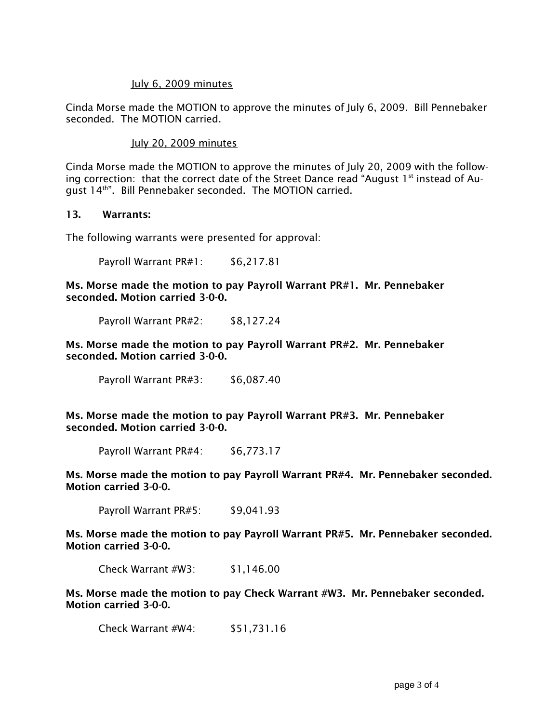#### July 6, 2009 minutes

Cinda Morse made the MOTION to approve the minutes of July 6, 2009. Bill Pennebaker seconded. The MOTION carried.

#### July 20, 2009 minutes

Cinda Morse made the MOTION to approve the minutes of July 20, 2009 with the following correction: that the correct date of the Street Dance read "August  $1<sup>st</sup>$  instead of August 14th". Bill Pennebaker seconded. The MOTION carried.

#### 13. Warrants:

The following warrants were presented for approval:

Payroll Warrant PR#1: \$6,217.81

Ms. Morse made the motion to pay Payroll Warrant PR#1. Mr. Pennebaker seconded. Motion carried 3-0-0.

Payroll Warrant PR#2: \$8,127.24

Ms. Morse made the motion to pay Payroll Warrant PR#2. Mr. Pennebaker seconded. Motion carried 3-0-0.

Payroll Warrant PR#3: \$6,087.40

Ms. Morse made the motion to pay Payroll Warrant PR#3. Mr. Pennebaker seconded. Motion carried 3-0-0.

Payroll Warrant PR#4: \$6,773.17

Ms. Morse made the motion to pay Payroll Warrant PR#4. Mr. Pennebaker seconded. Motion carried 3-0-0.

Payroll Warrant PR#5: \$9,041.93

Ms. Morse made the motion to pay Payroll Warrant PR#5. Mr. Pennebaker seconded. Motion carried 3-0-0.

Check Warrant #W3: \$1,146.00

Ms. Morse made the motion to pay Check Warrant #W3. Mr. Pennebaker seconded. Motion carried 3-0-0.

Check Warrant #W4: \$51,731.16